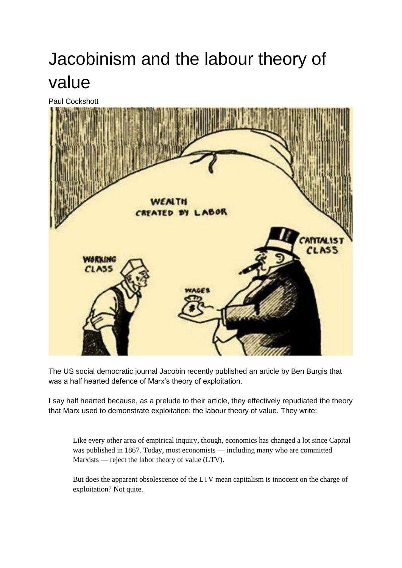## Jacobinism and the labour theory of value

Paul Cockshott



The US social democratic journal Jacobin recently published an article by Ben Burgis that was a half hearted defence of Marx's theory of exploitation.

I say half hearted because, as a prelude to their article, they effectively repudiated the theory that Marx used to demonstrate exploitation: the labour theory of value. They write:

Like every other area of empirical inquiry, though, economics has changed a lot since Capital was published in 1867. Today, most economists — including many who are committed Marxists — reject the labor theory of value (LTV).

But does the apparent obsolescence of the LTV mean capitalism is innocent on the charge of exploitation? Not quite.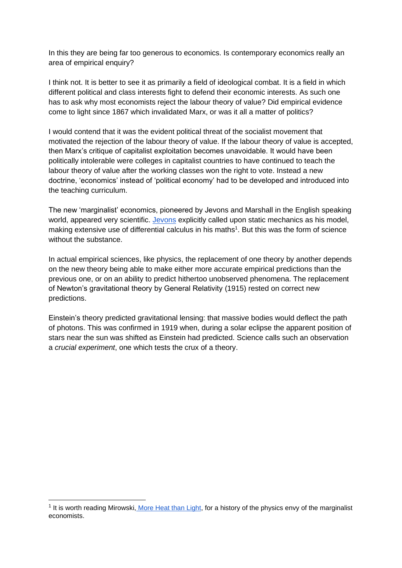In this they are being far too generous to economics. Is contemporary economics really an area of empirical enquiry?

I think not. It is better to see it as primarily a field of ideological combat. It is a field in which different political and class interests fight to defend their economic interests. As such one has to ask why most economists reject the labour theory of value? Did empirical evidence come to light since 1867 which invalidated Marx, or was it all a matter of politics?

I would contend that it was the evident political threat of the socialist movement that motivated the rejection of the labour theory of value. If the labour theory of value is accepted, then Marx's critique of capitalist exploitation becomes unavoidable. It would have been politically intolerable were colleges in capitalist countries to have continued to teach the labour theory of value after the working classes won the right to vote. Instead a new doctrine, 'economics' instead of 'political economy' had to be developed and introduced into the teaching curriculum.

The new 'marginalist' economics, pioneered by Jevons and Marshall in the English speaking world, appeared very scientific. [Jevons](https://www.google.co.uk/books/edition/The_Theory_of_Political_Economy/AthFAAAAcAAJ?hl=en&gbpv=1&dq=william+jevons+political+economy+1871&printsec=frontcovermics.pdf) explicitly called upon static mechanics as his model, making extensive use of differential calculus in his maths<sup>1</sup>. But this was the form of science without the substance.

In actual empirical sciences, like physics, the replacement of one theory by another depends on the new theory being able to make either more accurate empirical predictions than the previous one, or on an ability to predict hithertoo unobserved phenomena. The replacement of Newton's gravitational theory by General Relativity (1915) rested on correct new predictions.

Einstein's theory predicted gravitational lensing: that massive bodies would deflect the path of photons. This was confirmed in 1919 when, during a solar eclipse the apparent position of stars near the sun was shifted as Einstein had predicted. Science calls such an observation a *crucial experiment*, one which tests the crux of a theory.

<sup>&</sup>lt;sup>1</sup> It is worth reading Mirowski, [More Heat than Light,](https://books.google.co.uk/books/about/More_Heat_Than_Light.html?id=rmVhZnHId-oC&redir_esc=y) for a history of the physics envy of the marginalist economists.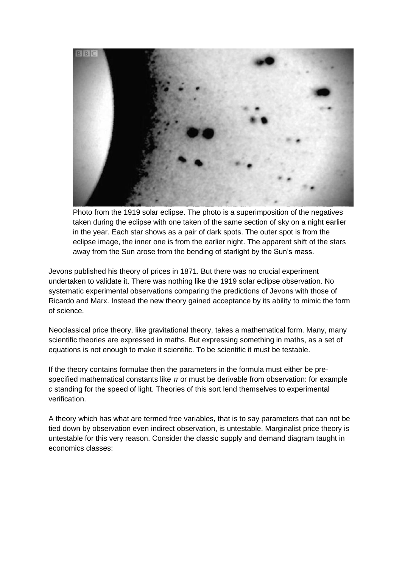

Photo from the 1919 solar eclipse. The photo is a superimposition of the negatives taken during the eclipse with one taken of the same section of sky on a night earlier in the year. Each star shows as a pair of dark spots. The outer spot is from the eclipse image, the inner one is from the earlier night. The apparent shift of the stars away from the Sun arose from the bending of starlight by the Sun's mass.

Jevons published his theory of prices in 1871. But there was no crucial experiment undertaken to validate it. There was nothing like the 1919 solar eclipse observation. No systematic experimental observations comparing the predictions of Jevons with those of Ricardo and Marx. Instead the new theory gained acceptance by its ability to mimic the form of science.

Neoclassical price theory, like gravitational theory, takes a mathematical form. Many, many scientific theories are expressed in maths. But expressing something in maths, as a set of equations is not enough to make it scientific. To be scientific it must be testable.

If the theory contains formulae then the parameters in the formula must either be prespecified mathematical constants like *π* or must be derivable from observation: for example *c* standing for the speed of light. Theories of this sort lend themselves to experimental verification.

A theory which has what are termed free variables, that is to say parameters that can not be tied down by observation even indirect observation, is untestable. Marginalist price theory is untestable for this very reason. Consider the classic supply and demand diagram taught in economics classes: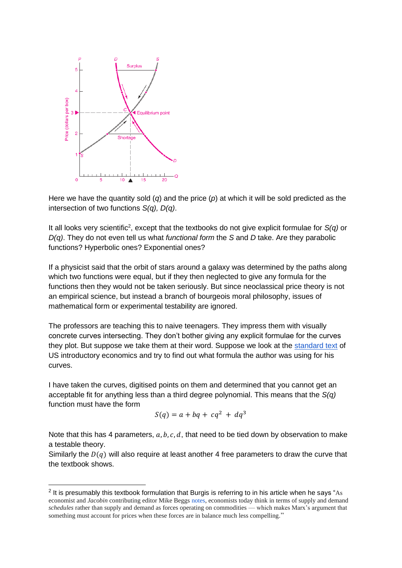

Here we have the quantity sold (*q*) and the price (*p*) at which it will be sold predicted as the intersection of two functions *S(q), D(q)*.

It all looks very scientific<sup>2</sup>, except that the textbooks do not give explicit formulae for *S(q)* or *D(q)*. They do not even tell us what *functional form* the *S* and *D* take. Are they parabolic functions? Hyperbolic ones? Exponential ones?

If a physicist said that the orbit of stars around a galaxy was determined by the paths along which two functions were equal, but if they then neglected to give any formula for the functions then they would not be taken seriously. But since neoclassical price theory is not an empirical science, but instead a branch of bourgeois moral philosophy, issues of mathematical form or experimental testability are ignored.

The professors are teaching this to naive teenagers. They impress them with visually concrete curves intersecting. They don't bother giving any explicit formulae for the curves they plot. But suppose we take them at their word. Suppose we look at the [standard text](https://www.bing.com/ck/a?!&&p=7dd09e0dd778e4fdf0dde713884db4abbde7314a9158a7928a955de2bcb8a560JmltdHM9MTY1NTQ5NTYzNyZpZ3VpZD03NzNjNDBkNC05ZDVhLTRjNzUtOTkyMC01MWJlNjg4NmViMTAmaW5zaWQ9NTE2Mg&ptn=3&fclid=3925a983-ee77-11ec-902b-266996a5a8c7&u=a1aHR0cHM6Ly9kbHNjcmliLmNvbS9kb3dubG9hZC9lY29ub21pY3MtMTllLXBhdWwtc2FtdWVsc29uLXdpbGxpYW0tbm9yZGhhdXNfNTg5MTc2NWI2NDU0YTc2MTEyYjI0N2M0X3BkZg&ntb=1) of US introductory economics and try to find out what formula the author was using for his curves.

I have taken the curves, digitised points on them and determined that you cannot get an acceptable fit for anything less than a third degree polynomial. This means that the *S(q)* function must have the form

$$
S(q) = a + bq + cq^2 + dq^3
$$

Note that this has 4 parameters,  $a, b, c, d$ , that need to be tied down by observation to make a testable theory.

Similarly the  $D(q)$  will also require at least another 4 free parameters to draw the curve that the textbook shows.

 $2$  It is presumably this textbook formulation that Burgis is referring to in his article when he says "As economist and *Jacobin* contributing editor Mike Beggs [notes,](https://jacobin.com/2011/07/zombie-marx/) economists today think in terms of supply and demand *schedules* rather than supply and demand as forces operating on commodities — which makes Marx's argument that something must account for prices when these forces are in balance much less compelling."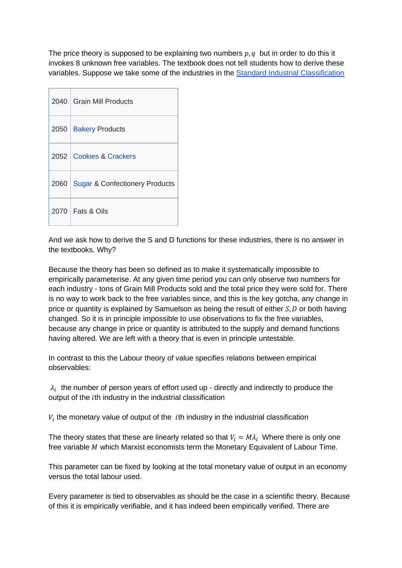The price theory is supposed to be explaining two numbers  $p, q$  but in order to do this it invokes 8 unknown free variables. The textbook does not tell students how to derive these variables. Suppose we take some of the industries in the [Standard Industrial Classification](https://en.wikipedia.org/wiki/Standard_Industrial_Classification#:~:text=The%20OMB%20established%20the%20Economic%20Classification%20Policy%20Committee,collaborative%20effort%20between%20Canada%2C%20the%20U.S.%20and%20Mexico.)

|      | 2040 Grain Mill Products                  |
|------|-------------------------------------------|
| 2050 | <b>Bakery Products</b>                    |
|      | 2052 Cookies & Crackers                   |
| 2060 | <b>Sugar &amp; Confectionery Products</b> |
|      | $2070$   Fats & Oils                      |

And we ask how to derive the S and D functions for these industries, there is no answer in the textbooks. Why?

Because the theory has been so defined as to make it systematically impossible to empirically parameterise. At any given time period you can only observe two numbers for each industry - tons of Grain Mill Products sold and the total price they were sold for. There is no way to work back to the free variables since, and this is the key gotcha, any change in price or quantity is explained by Samuelson as being the result of either  $S, D$  or both having changed. So it is in principle impossible to use observations to fix the free variables, because any change in price or quantity is attributed to the supply and demand functions having altered. We are left with a theory that is even in principle untestable.

In contrast to this the Labour theory of value specifies relations between empirical observables:

 $\lambda_i$  the number of person years of effort used up - directly and indirectly to produce the output of the *i*th industry in the industrial classification

 $V_i$  the monetary value of output of the  $i$ th industry in the industrial classification

The theory states that these are linearly related so that  $V_i = M\lambda_i$  Where there is only one free variable  $M$  which Marxist economists term the Monetary Equivalent of Labour Time.

This parameter can be fixed by looking at the total monetary value of output in an economy versus the total labour used.

Every parameter is tied to observables as should be the case in a scientific theory. Because of this it is empirically verifiable, and it has indeed been empirically verified. There are